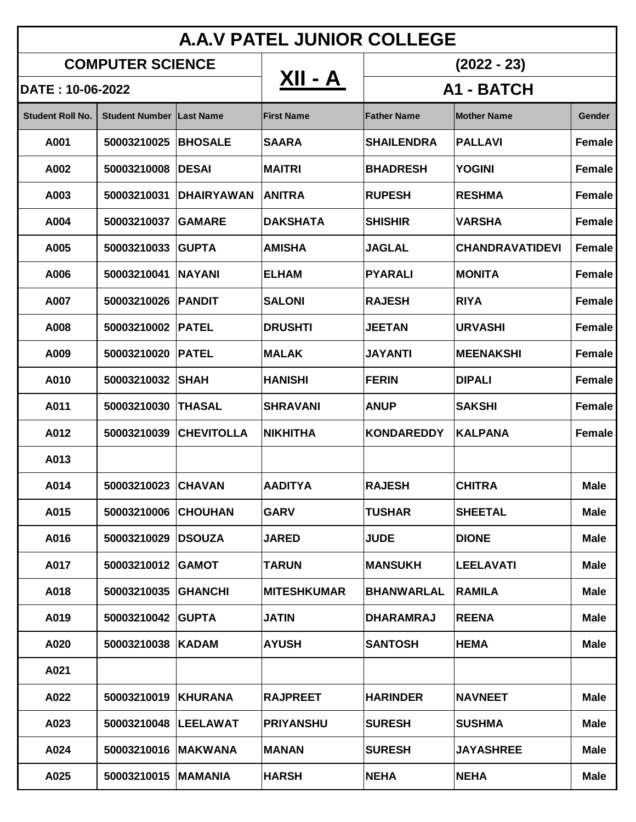| <b>A.A.V PATEL JUNIOR COLLEGE</b> |                                 |                        |                    |                    |                        |               |  |  |  |  |  |
|-----------------------------------|---------------------------------|------------------------|--------------------|--------------------|------------------------|---------------|--|--|--|--|--|
| <b>COMPUTER SCIENCE</b>           |                                 |                        | XII - A            | $(2022 - 23)$      |                        |               |  |  |  |  |  |
| DATE: 10-06-2022                  |                                 |                        |                    | A1 - BATCH         |                        |               |  |  |  |  |  |
| <b>Student Roll No.</b>           | <b>Student Number Last Name</b> |                        | <b>First Name</b>  | <b>Father Name</b> | <b>Mother Name</b>     | <b>Gender</b> |  |  |  |  |  |
| A001                              | 50003210025                     | <b>BHOSALE</b>         | <b>SAARA</b>       | <b>SHAILENDRA</b>  | <b>PALLAVI</b>         | <b>Female</b> |  |  |  |  |  |
| A002                              | 50003210008                     | <b>IDESAI</b>          | <b>MAITRI</b>      | <b>BHADRESH</b>    | <b>YOGINI</b>          | <b>Female</b> |  |  |  |  |  |
| A003                              | 50003210031                     | <b>IDHAIRYAWAN</b>     | <b>ANITRA</b>      | <b>RUPESH</b>      | <b>RESHMA</b>          | <b>Female</b> |  |  |  |  |  |
| A004                              | 50003210037                     | <b>IGAMARE</b>         | <b>DAKSHATA</b>    | <b>SHISHIR</b>     | <b>VARSHA</b>          | Female        |  |  |  |  |  |
| A005                              | 50003210033                     | <b>IGUPTA</b>          | <b>AMISHA</b>      | <b>JAGLAL</b>      | <b>CHANDRAVATIDEVI</b> | <b>Female</b> |  |  |  |  |  |
| A006                              | 50003210041                     | <b>INAYANI</b>         | <b>ELHAM</b>       | <b>PYARALI</b>     | <b>MONITA</b>          | <b>Female</b> |  |  |  |  |  |
| A007                              | 50003210026                     | <b>IPANDIT</b>         | <b>SALONI</b>      | <b>RAJESH</b>      | <b>RIYA</b>            | <b>Female</b> |  |  |  |  |  |
| A008                              | 50003210002 PATEL               |                        | <b>DRUSHTI</b>     | <b>JEETAN</b>      | <b>URVASHI</b>         | Female        |  |  |  |  |  |
| A009                              | 50003210020                     | <b>IPATEL</b>          | <b>MALAK</b>       | <b>JAYANTI</b>     | <b>MEENAKSHI</b>       | <b>Female</b> |  |  |  |  |  |
| A010                              | 50003210032                     | <b>SHAH</b>            | <b>HANISHI</b>     | <b>FERIN</b>       | <b>DIPALI</b>          | Female        |  |  |  |  |  |
| A011                              | 50003210030                     | <b>ITHASAL</b>         | <b>SHRAVANI</b>    | <b>ANUP</b>        | <b>SAKSHI</b>          | <b>Female</b> |  |  |  |  |  |
| A012                              |                                 | 50003210039 CHEVITOLLA | <b>NIKHITHA</b>    | <b>KONDAREDDY</b>  | <b>KALPANA</b>         | Female        |  |  |  |  |  |
| A013                              |                                 |                        |                    |                    |                        |               |  |  |  |  |  |
| A014                              | 50003210023 CHAVAN              |                        | <b>AADITYA</b>     | <b>RAJESH</b>      | <b>CHITRA</b>          | <b>Male</b>   |  |  |  |  |  |
| A015                              | 50003210006                     | <b>CHOUHAN</b>         | <b>GARV</b>        | <b>TUSHAR</b>      | <b>SHEETAL</b>         | <b>Male</b>   |  |  |  |  |  |
| A016                              | 50003210029                     | <b>IDSOUZA</b>         | <b>JARED</b>       | <b>JUDE</b>        | <b>DIONE</b>           | <b>Male</b>   |  |  |  |  |  |
| A017                              | 50003210012 GAMOT               |                        | <b>TARUN</b>       | <b>MANSUKH</b>     | <b>LEELAVATI</b>       | <b>Male</b>   |  |  |  |  |  |
| A018                              | 50003210035                     | <b>GHANCHI</b>         | <b>MITESHKUMAR</b> | <b>BHANWARLAL</b>  | <b>RAMILA</b>          | <b>Male</b>   |  |  |  |  |  |
| A019                              | 50003210042 GUPTA               |                        | <b>JATIN</b>       | <b>DHARAMRAJ</b>   | <b>REENA</b>           | <b>Male</b>   |  |  |  |  |  |
| A020                              | 50003210038  KADAM              |                        | <b>AYUSH</b>       | <b>SANTOSH</b>     | <b>HEMA</b>            | <b>Male</b>   |  |  |  |  |  |
| A021                              |                                 |                        |                    |                    |                        |               |  |  |  |  |  |
| A022                              | 50003210019   KHURANA           |                        | <b>RAJPREET</b>    | <b>HARINDER</b>    | <b>NAVNEET</b>         | <b>Male</b>   |  |  |  |  |  |
| A023                              | 50003210048  LEELAWAT           |                        | <b>PRIYANSHU</b>   | <b>SURESH</b>      | <b>SUSHMA</b>          | <b>Male</b>   |  |  |  |  |  |
| A024                              | 50003210016   MAKWANA           |                        | <b>MANAN</b>       | <b>SURESH</b>      | <b>JAYASHREE</b>       | <b>Male</b>   |  |  |  |  |  |
| A025                              | 50003210015   MAMANIA           |                        | <b>HARSH</b>       | <b>NEHA</b>        | <b>NEHA</b>            | <b>Male</b>   |  |  |  |  |  |